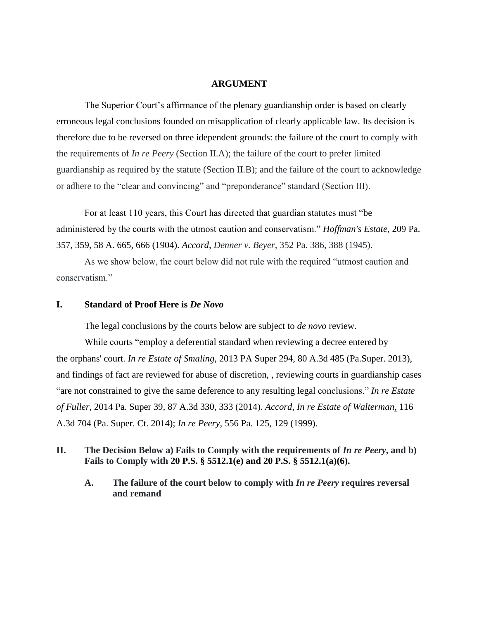#### **ARGUMENT**

The Superior Court's affirmance of the plenary guardianship order is based on clearly erroneous legal conclusions founded on misapplication of clearly applicable law. Its decision is therefore due to be reversed on three idependent grounds: the failure of the court to comply with the requirements of *In re Peery* (Section II.A); the failure of the court to prefer limited guardianship as required by the statute (Section II.B); and the failure of the court to acknowledge or adhere to the "clear and convincing" and "preponderance" standard (Section III).

For at least 110 years, this Court has directed that guardian statutes must "be administered by the courts with the utmost caution and conservatism." *Hoffman's Estate*, 209 Pa. 357, 359, 58 A. 665, 666 (1904). *Accord*, *Denner v. Beyer*, 352 Pa. 386, 388 (1945).

As we show below, the court below did not rule with the required "utmost caution and conservatism"

#### **I. Standard of Proof Here is** *De Novo*

The legal conclusions by the courts below are subject to *de novo* review.

While courts "employ a deferential standard when reviewing a decree entered by the orphans' court. *In re Estate of Smaling*, 2013 PA Super 294, 80 A.3d 485 (Pa.Super. 2013), and findings of fact are reviewed for abuse of discretion, , reviewing courts in guardianship cases "are not constrained to give the same deference to any resulting legal conclusions." *In re Estate of Fuller*, 2014 Pa. Super 39, 87 A.3d 330, 333 (2014). *Accord*, *In re Estate of Walterman,* 116 A.3d 704 (Pa. Super. Ct. 2014); *In re Peery*, 556 Pa. 125, 129 (1999).

# **II. The Decision Below a) Fails to Comply with the requirements of** *In re Peery***, and b) Fails to Comply with 20 P.S. § 5512.1(e) and 20 P.S. § 5512.1(a)(6).**

**A. The failure of the court below to comply with** *In re Peery* **requires reversal and remand**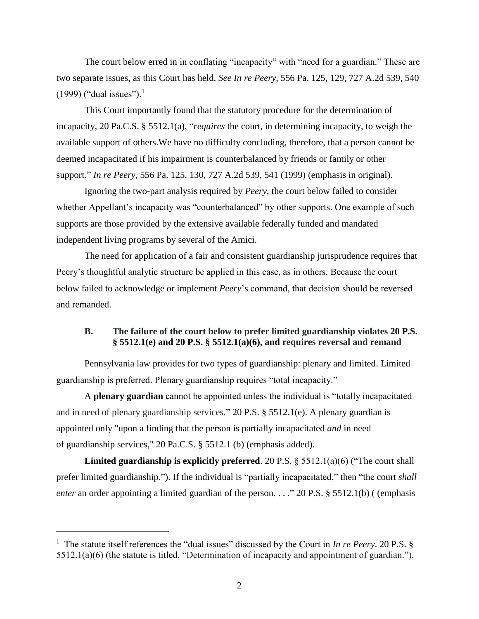The court below erred in in conflating "incapacity" with "need for a guardian." These are two separate issues, as this Court has held. *See In re Peery*, 556 Pa. 125, 129, 727 A.2d 539, 540 (1999) ("dual issues").<sup>1</sup>

This Court importantly found that the statutory procedure for the determination of incapacity, 20 Pa.C.S. § 5512.1(a), "*requires* the court, in determining incapacity, to weigh the available support of others.We have no difficulty concluding, therefore, that a person cannot be deemed incapacitated if his impairment is counterbalanced by friends or family or other support." *In re Peery*, 556 Pa. 125, 130, 727 A.2d 539, 541 (1999) (emphasis in original).

Ignoring the two-part analysis required by *Peery*, the court below failed to consider whether Appellant's incapacity was "counterbalanced" by other supports. One example of such supports are those provided by the extensive available federally funded and mandated independent living programs by several of the Amici.

The need for application of a fair and consistent guardianship jurisprudence requires that Peery's thoughtful analytic structure be applied in this case, as in others. Because the court below failed to acknowledge or implement *Peery*'s command, that decision should be reversed and remanded.

## **B. The failure of the court below to prefer limited guardianship violates 20 P.S. § 5512.1(e) and 20 P.S. § 5512.1(a)(6), and requires reversal and remand**

Pennsylvania law provides for two types of guardianship: plenary and limited. Limited guardianship is preferred. Plenary guardianship requires "total incapacity."

A **plenary guardian** cannot be appointed unless the individual is "totally incapacitated and in need of plenary guardianship services." 20 P.S. § 5512.1(e). A plenary guardian is appointed only "upon a finding that the person is partially incapacitated *and* in need of guardianship services," 20 Pa.C.S. § 5512.1 (b) (emphasis added).

**Limited guardianship is explicitly preferred**. 20 P.S. § 5512.1(a)(6) ("The court shall prefer limited guardianship."). If the individual is "partially incapacitated," then "the court *shall enter* an order appointing a limited guardian of the person. . . . " 20 P.S. § 5512.1(b) ( (emphasis

 $\overline{a}$ 

<sup>&</sup>lt;sup>1</sup> The statute itself references the "dual issues" discussed by the Court in *In re Peery*. 20 P.S. § 5512.1(a)(6) (the statute is titled, "Determination of incapacity and appointment of guardian.").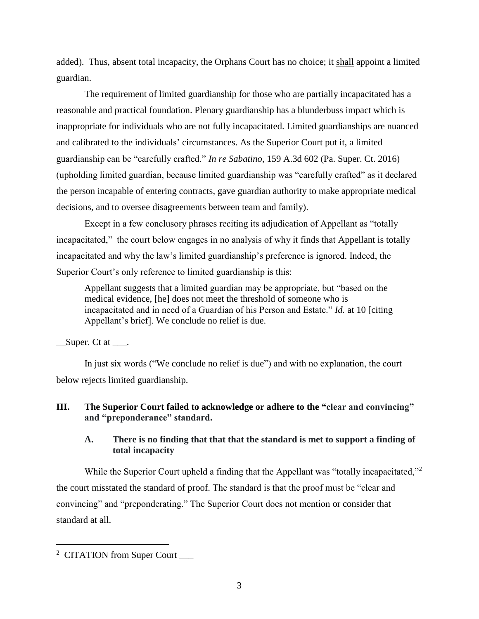added). Thus, absent total incapacity, the Orphans Court has no choice; it shall appoint a limited guardian.

The requirement of limited guardianship for those who are partially incapacitated has a reasonable and practical foundation. Plenary guardianship has a blunderbuss impact which is inappropriate for individuals who are not fully incapacitated. Limited guardianships are nuanced and calibrated to the individuals' circumstances. As the Superior Court put it, a limited guardianship can be "carefully crafted." *In re Sabatino*, 159 A.3d 602 (Pa. Super. Ct. 2016) (upholding limited guardian, because limited guardianship was "carefully crafted" as it declared the person incapable of entering contracts, gave guardian authority to make appropriate medical decisions, and to oversee disagreements between team and family).

Except in a few conclusory phrases reciting its adjudication of Appellant as "totally incapacitated," the court below engages in no analysis of why it finds that Appellant is totally incapacitated and why the law's limited guardianship's preference is ignored. Indeed, the Superior Court's only reference to limited guardianship is this:

Appellant suggests that a limited guardian may be appropriate, but "based on the medical evidence, [he] does not meet the threshold of someone who is incapacitated and in need of a Guardian of his Person and Estate." *Id.* at 10 [citing Appellant's brief]. We conclude no relief is due.

 $\Box$  Super. Ct at  $\Box$ .

In just six words ("We conclude no relief is due") and with no explanation, the court below rejects limited guardianship.

# **III. The Superior Court failed to acknowledge or adhere to the "clear and convincing" and "preponderance" standard.**

# **A. There is no finding that that that the standard is met to support a finding of total incapacity**

While the Superior Court upheld a finding that the Appellant was "totally incapacitated,"<sup>2</sup> the court misstated the standard of proof. The standard is that the proof must be "clear and convincing" and "preponderating." The Superior Court does not mention or consider that standard at all.

 $\overline{a}$ 

<sup>&</sup>lt;sup>2</sup> CITATION from Super Court \_\_\_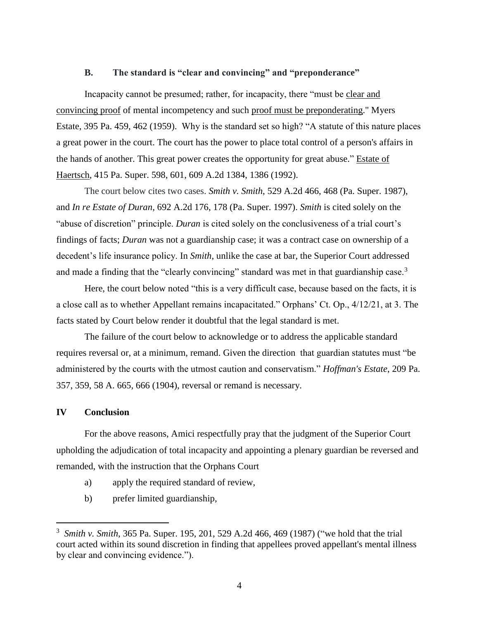#### **B. The standard is "clear and convincing" and "preponderance"**

Incapacity cannot be presumed; rather, for incapacity, there "must be clear and convincing proof of mental incompetency and such proof must be preponderating." Myers Estate, 395 Pa. 459, 462 (1959). Why is the standard set so high? "A statute of this nature places a great power in the court. The court has the power to place total control of a person's affairs in the hands of another. This great power creates the opportunity for great abuse." Estate of Haertsch, 415 Pa. Super. 598, 601, 609 A.2d 1384, 1386 (1992).

The court below cites two cases. *Smith v. Smith*, 529 A.2d 466, 468 (Pa. Super. 1987), and *In re Estate of Duran*, 692 A.2d 176, 178 (Pa. Super. 1997). *Smith* is cited solely on the "abuse of discretion" principle. *Duran* is cited solely on the conclusiveness of a trial court's findings of facts; *Duran* was not a guardianship case; it was a contract case on ownership of a decedent's life insurance policy. In *Smith*, unlike the case at bar, the Superior Court addressed and made a finding that the "clearly convincing" standard was met in that guardianship case.<sup>3</sup>

Here, the court below noted "this is a very difficult case, because based on the facts, it is a close call as to whether Appellant remains incapacitated." Orphans' Ct. Op., 4/12/21, at 3. The facts stated by Court below render it doubtful that the legal standard is met.

The failure of the court below to acknowledge or to address the applicable standard requires reversal or, at a minimum, remand. Given the direction that guardian statutes must "be administered by the courts with the utmost caution and conservatism." *Hoffman's Estate*, 209 Pa. 357, 359, 58 A. 665, 666 (1904), reversal or remand is necessary.

### **IV Conclusion**

 $\overline{a}$ 

For the above reasons, Amici respectfully pray that the judgment of the Superior Court upholding the adjudication of total incapacity and appointing a plenary guardian be reversed and remanded, with the instruction that the Orphans Court

- a) apply the required standard of review,
- b) prefer limited guardianship,

<sup>3</sup> *Smith v. Smith*, 365 Pa. Super. 195, 201, 529 A.2d 466, 469 (1987) ("we hold that the trial court acted within its sound discretion in finding that appellees proved appellant's mental illness by clear and convincing evidence.").